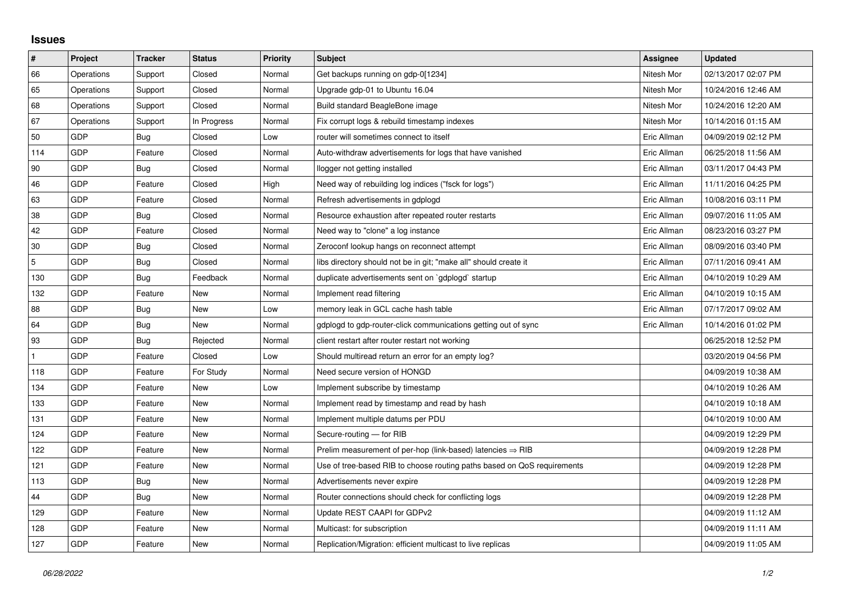## **Issues**

| $\vert$ #      | Project    | <b>Tracker</b> | <b>Status</b> | <b>Priority</b> | <b>Subject</b>                                                          | Assignee    | <b>Updated</b>      |
|----------------|------------|----------------|---------------|-----------------|-------------------------------------------------------------------------|-------------|---------------------|
| 66             | Operations | Support        | Closed        | Normal          | Get backups running on gdp-0[1234]                                      | Nitesh Mor  | 02/13/2017 02:07 PM |
| 65             | Operations | Support        | Closed        | Normal          | Upgrade gdp-01 to Ubuntu 16.04                                          | Nitesh Mor  | 10/24/2016 12:46 AM |
| 68             | Operations | Support        | Closed        | Normal          | Build standard BeagleBone image                                         | Nitesh Mor  | 10/24/2016 12:20 AM |
| 67             | Operations | Support        | In Progress   | Normal          | Fix corrupt logs & rebuild timestamp indexes                            | Nitesh Mor  | 10/14/2016 01:15 AM |
| 50             | GDP        | Bug            | Closed        | Low             | router will sometimes connect to itself                                 | Eric Allman | 04/09/2019 02:12 PM |
| 114            | GDP        | Feature        | Closed        | Normal          | Auto-withdraw advertisements for logs that have vanished                | Eric Allman | 06/25/2018 11:56 AM |
| 90             | GDP        | Bug            | Closed        | Normal          | llogger not getting installed                                           | Eric Allman | 03/11/2017 04:43 PM |
| 46             | GDP        | Feature        | Closed        | High            | Need way of rebuilding log indices ("fsck for logs")                    | Eric Allman | 11/11/2016 04:25 PM |
| 63             | GDP        | Feature        | Closed        | Normal          | Refresh advertisements in gdplogd                                       | Eric Allman | 10/08/2016 03:11 PM |
| 38             | GDP        | Bug            | Closed        | Normal          | Resource exhaustion after repeated router restarts                      | Eric Allman | 09/07/2016 11:05 AM |
| 42             | GDP        | Feature        | Closed        | Normal          | Need way to "clone" a log instance                                      | Eric Allman | 08/23/2016 03:27 PM |
| 30             | GDP        | Bug            | Closed        | Normal          | Zeroconf lookup hangs on reconnect attempt                              | Eric Allman | 08/09/2016 03:40 PM |
| $\overline{5}$ | GDP        | Bug            | Closed        | Normal          | libs directory should not be in git; "make all" should create it        | Eric Allman | 07/11/2016 09:41 AM |
| 130            | GDP        | Bug            | Feedback      | Normal          | duplicate advertisements sent on `gdplogd` startup                      | Eric Allman | 04/10/2019 10:29 AM |
| 132            | GDP        | Feature        | New           | Normal          | Implement read filtering                                                | Eric Allman | 04/10/2019 10:15 AM |
| 88             | GDP        | Bug            | <b>New</b>    | Low             | memory leak in GCL cache hash table                                     | Eric Allman | 07/17/2017 09:02 AM |
| 64             | GDP        | Bug            | New           | Normal          | gdplogd to gdp-router-click communications getting out of sync          | Eric Allman | 10/14/2016 01:02 PM |
| 93             | GDP        | <b>Bug</b>     | Rejected      | Normal          | client restart after router restart not working                         |             | 06/25/2018 12:52 PM |
| $\mathbf{1}$   | GDP        | Feature        | Closed        | Low             | Should multiread return an error for an empty log?                      |             | 03/20/2019 04:56 PM |
| 118            | GDP        | Feature        | For Study     | Normal          | Need secure version of HONGD                                            |             | 04/09/2019 10:38 AM |
| 134            | GDP        | Feature        | New           | Low             | Implement subscribe by timestamp                                        |             | 04/10/2019 10:26 AM |
| 133            | GDP        | Feature        | New           | Normal          | Implement read by timestamp and read by hash                            |             | 04/10/2019 10:18 AM |
| 131            | GDP        | Feature        | New           | Normal          | Implement multiple datums per PDU                                       |             | 04/10/2019 10:00 AM |
| 124            | GDP        | Feature        | New           | Normal          | Secure-routing - for RIB                                                |             | 04/09/2019 12:29 PM |
| 122            | GDP        | Feature        | <b>New</b>    | Normal          | Prelim measurement of per-hop (link-based) latencies $\Rightarrow$ RIB  |             | 04/09/2019 12:28 PM |
| 121            | GDP        | Feature        | New           | Normal          | Use of tree-based RIB to choose routing paths based on QoS requirements |             | 04/09/2019 12:28 PM |
| 113            | GDP        | Bug            | <b>New</b>    | Normal          | Advertisements never expire                                             |             | 04/09/2019 12:28 PM |
| 44             | GDP        | Bug            | New           | Normal          | Router connections should check for conflicting logs                    |             | 04/09/2019 12:28 PM |
| 129            | GDP        | Feature        | <b>New</b>    | Normal          | Update REST CAAPI for GDPv2                                             |             | 04/09/2019 11:12 AM |
| 128            | GDP        | Feature        | New           | Normal          | Multicast: for subscription                                             |             | 04/09/2019 11:11 AM |
| 127            | GDP        | Feature        | New           | Normal          | Replication/Migration: efficient multicast to live replicas             |             | 04/09/2019 11:05 AM |